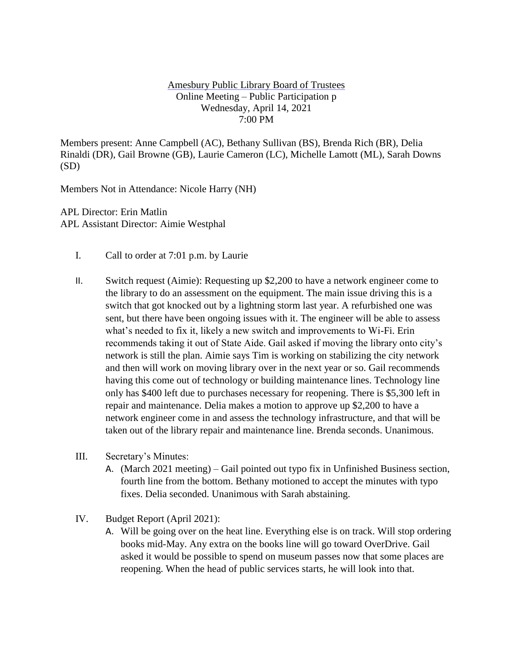# Amesbury Public Library Board of Trustees Online Meeting – Public Participation p Wednesday, April 14, 2021 7:00 PM

Members present: Anne Campbell (AC), Bethany Sullivan (BS), Brenda Rich (BR), Delia Rinaldi (DR), Gail Browne (GB), Laurie Cameron (LC), Michelle Lamott (ML), Sarah Downs (SD)

Members Not in Attendance: Nicole Harry (NH)

APL Director: Erin Matlin APL Assistant Director: Aimie Westphal

- I. Call to order at 7:01 p.m. by Laurie
- II. Switch request (Aimie): Requesting up \$2,200 to have a network engineer come to the library to do an assessment on the equipment. The main issue driving this is a switch that got knocked out by a lightning storm last year. A refurbished one was sent, but there have been ongoing issues with it. The engineer will be able to assess what's needed to fix it, likely a new switch and improvements to Wi-Fi. Erin recommends taking it out of State Aide. Gail asked if moving the library onto city's network is still the plan. Aimie says Tim is working on stabilizing the city network and then will work on moving library over in the next year or so. Gail recommends having this come out of technology or building maintenance lines. Technology line only has \$400 left due to purchases necessary for reopening. There is \$5,300 left in repair and maintenance. Delia makes a motion to approve up \$2,200 to have a network engineer come in and assess the technology infrastructure, and that will be taken out of the library repair and maintenance line. Brenda seconds. Unanimous.
- III. Secretary's Minutes:
	- A. (March 2021 meeting) Gail pointed out typo fix in Unfinished Business section, fourth line from the bottom. Bethany motioned to accept the minutes with typo fixes. Delia seconded. Unanimous with Sarah abstaining.
- IV. Budget Report (April 2021):
	- A. Will be going over on the heat line. Everything else is on track. Will stop ordering books mid-May. Any extra on the books line will go toward OverDrive. Gail asked it would be possible to spend on museum passes now that some places are reopening. When the head of public services starts, he will look into that.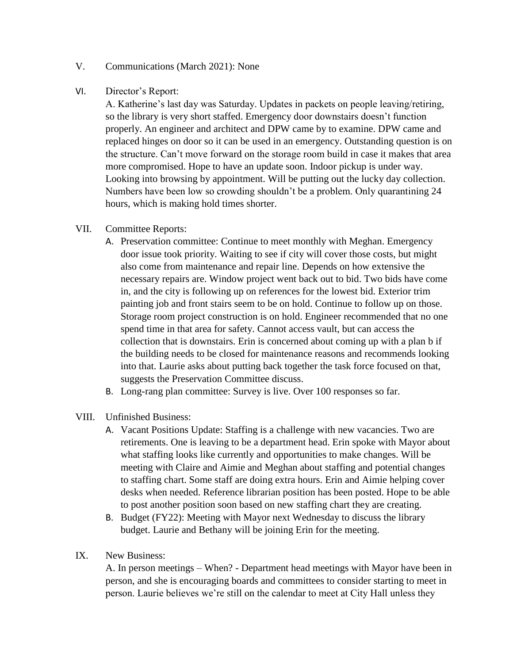# V. Communications (March 2021): None

# VI. Director's Report:

A. Katherine's last day was Saturday. Updates in packets on people leaving/retiring, so the library is very short staffed. Emergency door downstairs doesn't function properly. An engineer and architect and DPW came by to examine. DPW came and replaced hinges on door so it can be used in an emergency. Outstanding question is on the structure. Can't move forward on the storage room build in case it makes that area more compromised. Hope to have an update soon. Indoor pickup is under way. Looking into browsing by appointment. Will be putting out the lucky day collection. Numbers have been low so crowding shouldn't be a problem. Only quarantining 24 hours, which is making hold times shorter.

# VII. Committee Reports:

- A. Preservation committee: Continue to meet monthly with Meghan. Emergency door issue took priority. Waiting to see if city will cover those costs, but might also come from maintenance and repair line. Depends on how extensive the necessary repairs are. Window project went back out to bid. Two bids have come in, and the city is following up on references for the lowest bid. Exterior trim painting job and front stairs seem to be on hold. Continue to follow up on those. Storage room project construction is on hold. Engineer recommended that no one spend time in that area for safety. Cannot access vault, but can access the collection that is downstairs. Erin is concerned about coming up with a plan b if the building needs to be closed for maintenance reasons and recommends looking into that. Laurie asks about putting back together the task force focused on that, suggests the Preservation Committee discuss.
- B. Long-rang plan committee: Survey is live. Over 100 responses so far.
- VIII. Unfinished Business:
	- A. Vacant Positions Update: Staffing is a challenge with new vacancies. Two are retirements. One is leaving to be a department head. Erin spoke with Mayor about what staffing looks like currently and opportunities to make changes. Will be meeting with Claire and Aimie and Meghan about staffing and potential changes to staffing chart. Some staff are doing extra hours. Erin and Aimie helping cover desks when needed. Reference librarian position has been posted. Hope to be able to post another position soon based on new staffing chart they are creating.
	- B. Budget (FY22): Meeting with Mayor next Wednesday to discuss the library budget. Laurie and Bethany will be joining Erin for the meeting.
- IX. New Business:

A. In person meetings – When? - Department head meetings with Mayor have been in person, and she is encouraging boards and committees to consider starting to meet in person. Laurie believes we're still on the calendar to meet at City Hall unless they